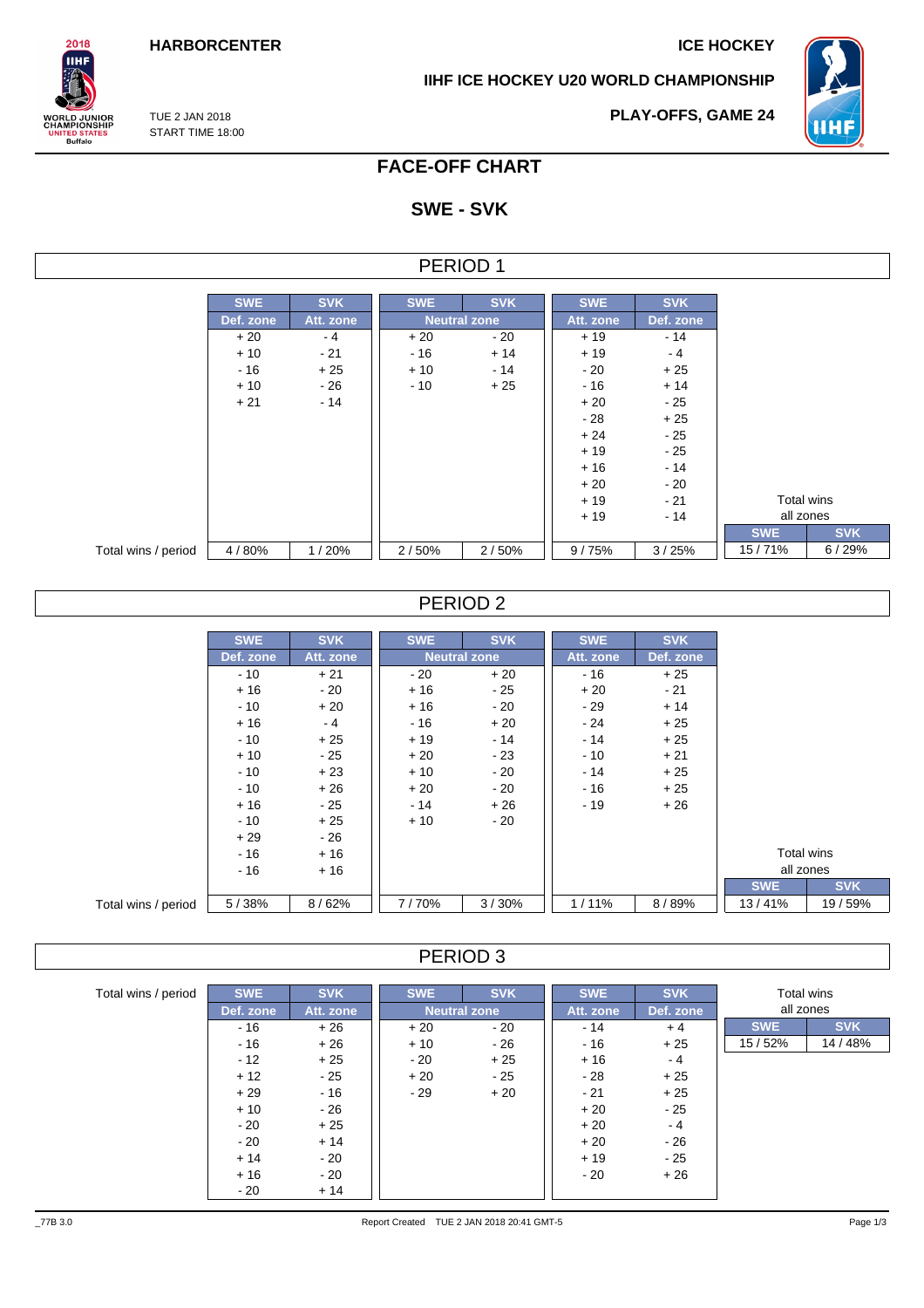**IIHF ICE HOCKEY U20 WORLD CHAMPIONSHIP**



TUE 2 JAN 2018 START TIME 18:00

 $2018$ **IIHF** 

**VORLD JUNIOR<br>CHAMPIONSHIP<br>UNITED STATES<br>Buffalo** 

**PLAY-OFFS, GAME 24**

## **FACE-OFF CHART**

# **SWE - SVK**

| FRIOD |  |
|-------|--|
|-------|--|

|                     | <b>SWE</b> | <b>SVK</b> | <b>SWE</b> | <b>SVK</b>          | <b>SWE</b> | <b>SVK</b> |            |            |
|---------------------|------------|------------|------------|---------------------|------------|------------|------------|------------|
|                     | Def. zone  | Att. zone  |            | <b>Neutral zone</b> | Att. zone  | Def. zone  |            |            |
|                     | $+20$      | $-4$       | $+20$      | - 20                | $+19$      | $-14$      |            |            |
|                     | $+10$      | $-21$      | $-16$      | $+14$               | $+19$      | $-4$       |            |            |
|                     | $-16$      | $+25$      | $+10$      | - 14                | $-20$      | $+25$      |            |            |
|                     | $+10$      | $-26$      | $-10$      | $+25$               | $-16$      | $+14$      |            |            |
|                     | $+21$      | $-14$      |            |                     | $+20$      | $-25$      |            |            |
|                     |            |            |            |                     | $-28$      | $+25$      |            |            |
|                     |            |            |            |                     | $+24$      | - 25       |            |            |
|                     |            |            |            |                     | $+19$      | $-25$      |            |            |
|                     |            |            |            |                     | $+16$      | - 14       |            |            |
|                     |            |            |            |                     | $+20$      | $-20$      |            |            |
|                     |            |            |            |                     | $+19$      | - 21       |            | Total wins |
|                     |            |            |            |                     | $+19$      | $-14$      |            | all zones  |
|                     |            |            |            |                     |            |            | <b>SWE</b> |            |
| Total wins / period | 4/80%      | 1/20%      | 2/50%      | 2/50%               | 9/75%      | 3/25%      | 15/71%     |            |

### PERIOD 2

|                     | <b>SWE</b> | <b>SVK</b> | <b>SWE</b> | <b>SVK</b>          | <b>SWE</b> | <b>SVK</b> |            |            |
|---------------------|------------|------------|------------|---------------------|------------|------------|------------|------------|
|                     | Def. zone  | Att. zone  |            | <b>Neutral zone</b> | Att. zone  | Def. zone  |            |            |
|                     | $-10$      | $+21$      | $-20$      | $+20$               | $-16$      | $+25$      |            |            |
|                     | $+16$      | $-20$      | $+16$      | - 25                | $+20$      | $-21$      |            |            |
|                     | $-10$      | $+20$      | $+16$      | $-20$               | $-29$      | $+14$      |            |            |
|                     | $+16$      | $-4$       | $-16$      | $+20$               | - 24       | $+25$      |            |            |
|                     | $-10$      | $+25$      | $+19$      | $-14$               | $-14$      | $+25$      |            |            |
|                     | $+10$      | $-25$      | $+20$      | $-23$               | $-10$      | $+21$      |            |            |
|                     | $-10$      | $+23$      | $+10$      | $-20$               | $-14$      | $+25$      |            |            |
|                     | $-10$      | $+26$      | $+20$      | $-20$               | $-16$      | $+25$      |            |            |
|                     | $+16$      | $-25$      | $-14$      | $+26$               | $-19$      | $+26$      |            |            |
|                     | $-10$      | $+25$      | $+10$      | $-20$               |            |            |            |            |
|                     | $+29$      | $-26$      |            |                     |            |            |            |            |
|                     | $-16$      | $+16$      |            |                     |            |            | Total wins |            |
|                     | $-16$      | $+16$      |            |                     |            |            | all zones  |            |
|                     |            |            |            |                     |            |            | <b>SWE</b> | <b>SVK</b> |
| Total wins / period | 5/38%      | 8/62%      | 7/70%      | 3/30%               | 1/11%      | 8/89%      | 13/41%     | 19 / 59%   |

#### PERIOD 3

| Total wins / period | <b>SWE</b> | <b>SVK</b> | <b>SWE</b> | <b>SVK</b>          | <b>SWE</b> | <b>SVK</b> | Total wins |            |
|---------------------|------------|------------|------------|---------------------|------------|------------|------------|------------|
|                     | Def. zone  | Att. zone  |            | <b>Neutral zone</b> | Att. zone  | Def. zone  | all zones  |            |
|                     | $-16$      | $+26$      | $+20$      | $-20$               | $-14$      | $+4$       | <b>SWE</b> | <b>SVK</b> |
|                     | $-16$      | $+26$      | $+10$      | - 26                | - 16       | $+25$      | 15/52%     | 14 / 48%   |
|                     | $-12$      | $+25$      | - 20       | $+25$               | $+16$      | - 4        |            |            |
|                     | $+12$      | $-25$      | $+20$      | $-25$               | - 28       | $+25$      |            |            |
|                     | $+29$      | $-16$      | $-29$      | $+20$               | $-21$      | $+25$      |            |            |
|                     | $+10$      | - 26       |            |                     | $+20$      | $-25$      |            |            |
|                     | $-20$      | $+25$      |            |                     | $+20$      | $-4$       |            |            |
|                     | $-20$      | $+14$      |            |                     | $+20$      | $-26$      |            |            |
|                     | $+14$      | - 20       |            |                     | $+19$      | - 25       |            |            |
|                     | $+16$      | - 20       |            |                     | - 20       | $+26$      |            |            |
|                     | $-20$      | $+14$      |            |                     |            |            |            |            |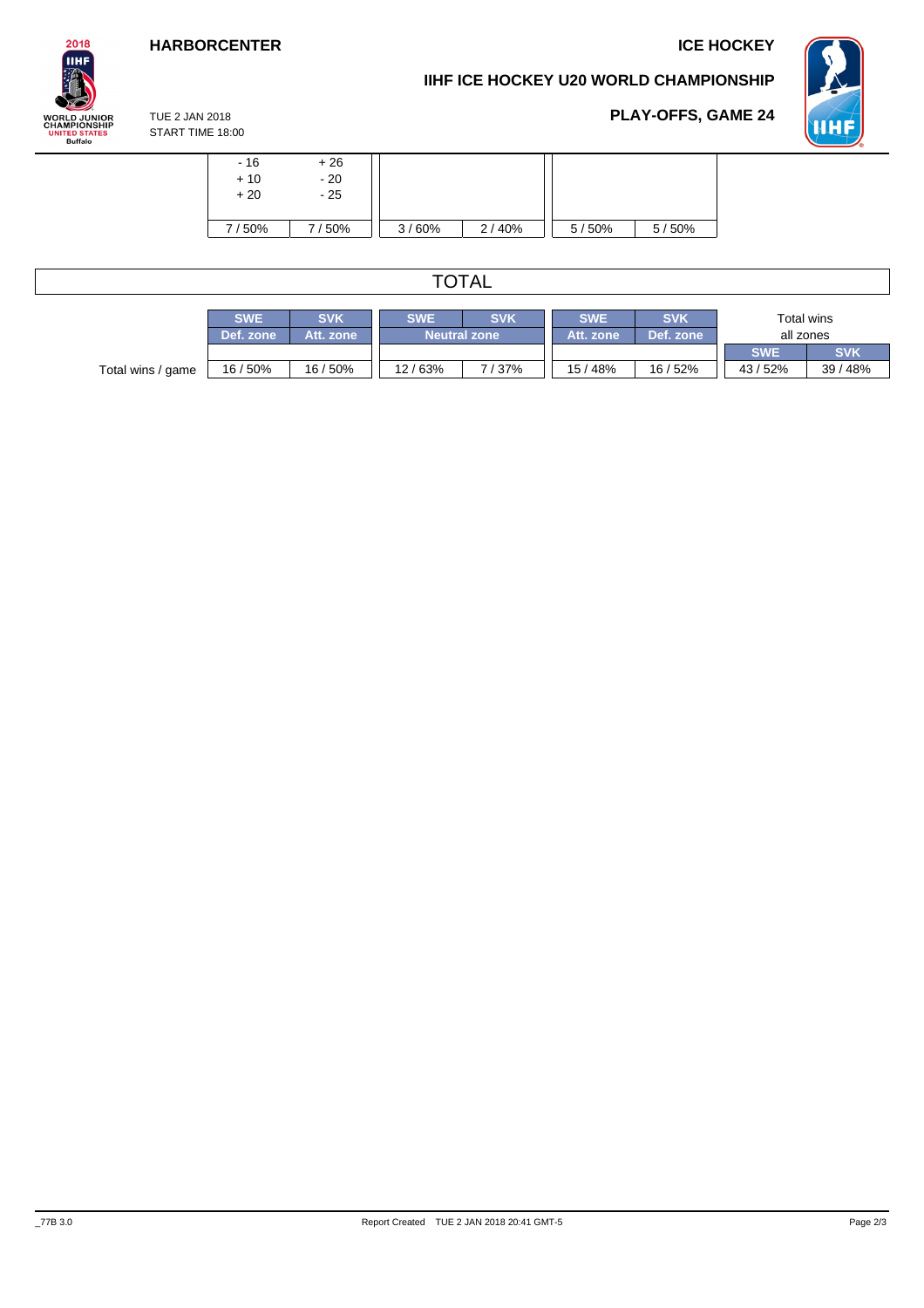

## **IIHF ICE HOCKEY U20 WORLD CHAMPIONSHIP**



**PLAY-OFFS, GAME 24**

TUE 2 JAN 2018 START TIME 18:00

| $-16$<br>$+10$<br>$+20$ | $+26$<br>$-20$<br>$-25$ |       |       |       |       |
|-------------------------|-------------------------|-------|-------|-------|-------|
| 7/50%                   | 50%                     | 3/60% | 2/40% | 5/50% | 5/50% |

# TOTAL

|                   | <b>SWE</b> | SVK       | <b>SWE</b> | <b>SVK</b>          | <b>SWE</b> | <b>SVK</b> | Total wins |            |  |
|-------------------|------------|-----------|------------|---------------------|------------|------------|------------|------------|--|
|                   | Def. zone  | Att. zone |            | <b>Neutral zone</b> | Att. zone  | Def. zone  | all zones  |            |  |
|                   |            |           |            |                     |            |            | <b>SWE</b> | <b>SVK</b> |  |
| Total wins / game | 16 / 50%   | 16/50%    | 12/63%     | 137%                | 15/48%     | 16/52%     | 43/52%     | 39/48%     |  |